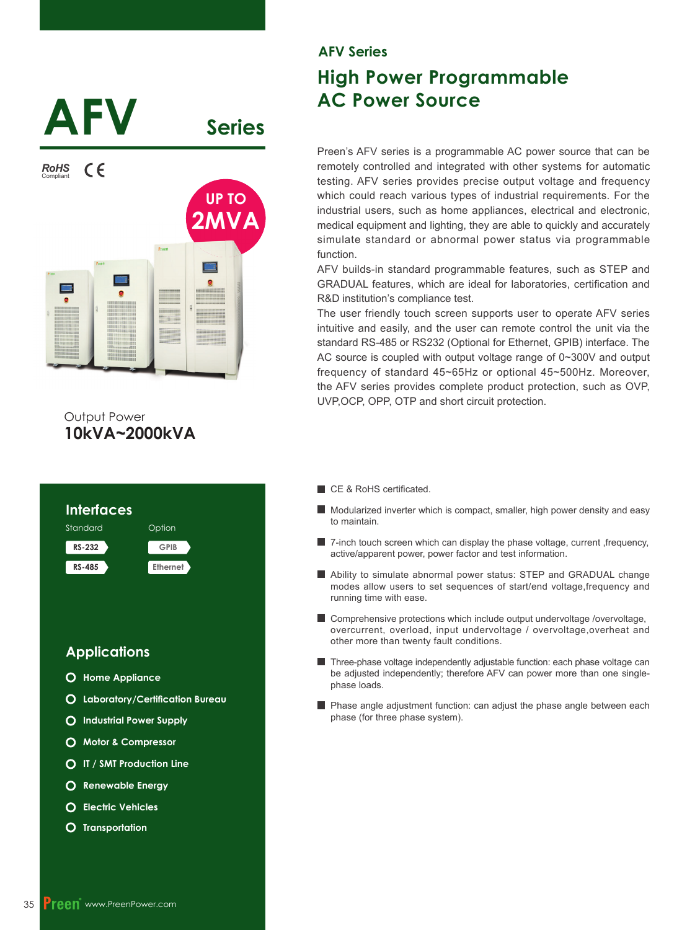

# **10kVA~2000kVA** Output Power



# **\$)9 Series**

# **High Power Programmable AC Power Source**

Preen's AFV series is a programmable AC power source that can be remotely controlled and integrated with other systems for automatic testing. AFV series provides precise output voltage and frequency which could reach various types of industrial requirements. For the industrial users, such as home appliances, electrical and electronic, medical equipment and lighting, they are able to quickly and accurately simulate standard or abnormal power status via programmable function.

AFV builds-in standard programmable features, such as STEP and GRADUAL features, which are ideal for laboratories, certification and R&D institution's compliance test.

The user friendly touch screen supports user to operate AFV series intuitive and easily, and the user can remote control the unit via the standard RS-485 or RS232 (Optional for Ethernet, GPIB) interface. The AC source is coupled with output voltage range of  $0 \sim 300V$  and output frequency of standard  $45\nu$ -65Hz or optional  $45\nu$ -500Hz. Moreover, the AFV series provides complete product protection, such as OVP, UVP,OCP, OPP, OTP and short circuit protection.

- CE & RoHS certificated.
- Modularized inverter which is compact, smaller, high power density and easy to maintain.
- $\blacksquare$  7-inch touch screen which can display the phase voltage, current , frequency, active/apparent power, power factor and test information.
- Ability to simulate abnormal power status: STEP and GRADUAL change modes allow users to set sequences of start/end voltage,frequency and running time with ease.
- **E** Comprehensive protections which include output undervoltage /overvoltage, overcurrent, overload, input undervoltage / overvoltage,overheat and other more than twenty fault conditions.
- Three-phase voltage independently adjustable function: each phase voltage can be adjusted independently; therefore AFV can power more than one singlephase loads.
- **Phase angle adjustment function: can adjust the phase angle between each** phase (for three phase system).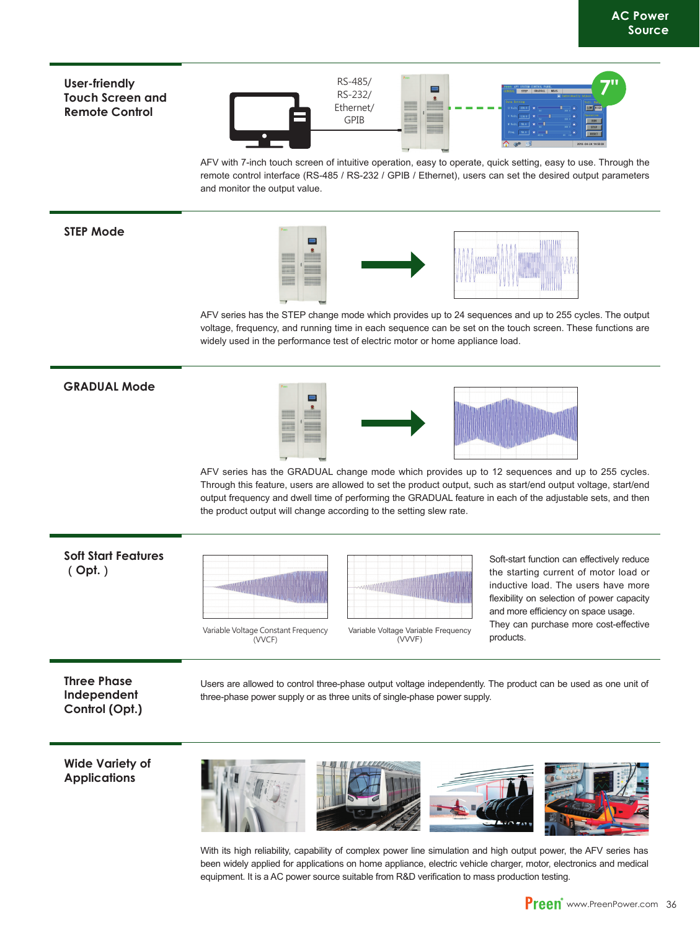#### User-friendly **Touch Screen and Remote Control**



AFV with 7-inch touch screen of intuitive operation, easy to operate, quick setting, easy to use. Through the remote control interface (RS-485 / RS-232 / GPIB / Ethernet), users can set the desired output parameters and monitor the output value.

#### **STEP Mode**



AFV series has the STEP change mode which provides up to 24 sequences and up to 255 cycles. The output voltage, frequency, and running time in each sequence can be set on the touch screen. These functions are widely used in the performance test of electric motor or home appliance load.

#### **GRADUAL Mode**

AFV series has the GRADUAL change mode which provides up to 12 sequences and up to 255 cycles. Through this feature, users are allowed to set the product output, such as start/end output voltage, start/end output frequency and dwell time of performing the GRADUAL feature in each of the adjustable sets, and then the product output will change according to the setting slew rate.

#### **Soft Start Features**  $(Opt.)$



(VVCF)



Soft-start function can effectively reduce the starting current of motor load or inductive load. The users have more flexibility on selection of power capacity and more efficiency on space usage. They can purchase more cost-effective products.

**Three Phase Independent**  Control (Opt.)

Users are allowed to control three-phase output voltage independently. The product can be used as one unit of three-phase power supply or as three units of single-phase power supply.

**Wide Variety of Applications** 



With its high reliability, capability of complex power line simulation and high output power, the AFV series has been widely applied for applications on home appliance, electric vehicle charger, motor, electronics and medical equipment. It is a AC power source suitable from R&D verification to mass production testing.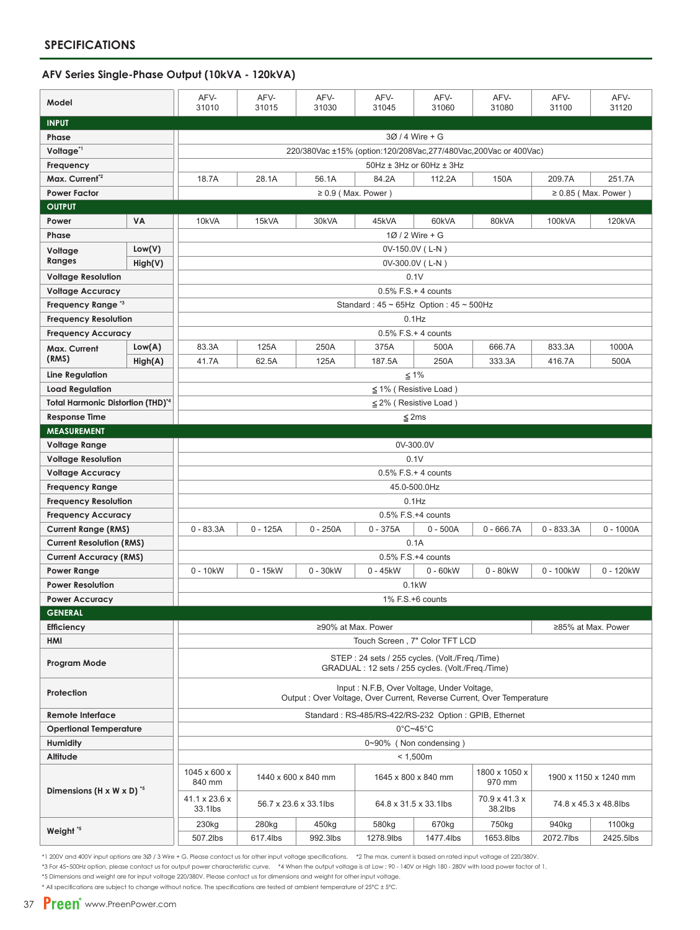#### AFV Series Single-Phase Output (10kVA - 120kVA)

| Model                                              |           | AFV-<br>31010                                                                                                        | AFV-<br>31015         | AFV-<br>31030 | AFV-<br>31045                                         | AFV-<br>31060           | AFV-<br>31080         | AFV-<br>31100                          | AFV-<br>31120 |  |  |  |
|----------------------------------------------------|-----------|----------------------------------------------------------------------------------------------------------------------|-----------------------|---------------|-------------------------------------------------------|-------------------------|-----------------------|----------------------------------------|---------------|--|--|--|
| <b>INPUT</b>                                       |           |                                                                                                                      |                       |               |                                                       |                         |                       |                                        |               |  |  |  |
| Phase                                              |           | 30 / 4 Wire + G                                                                                                      |                       |               |                                                       |                         |                       |                                        |               |  |  |  |
| Voltage <sup>*1</sup>                              |           | 220/380Vac ±15% (option:120/208Vac,277/480Vac,200Vac or 400Vac)                                                      |                       |               |                                                       |                         |                       |                                        |               |  |  |  |
| Frequency                                          |           | $50$ Hz $\pm$ 3Hz or 60Hz $\pm$ 3Hz                                                                                  |                       |               |                                                       |                         |                       |                                        |               |  |  |  |
| Max. Current <sup>*2</sup>                         |           | 18.7A                                                                                                                | 28.1A                 | 56.1A         | 84.2A                                                 | 112.2A                  | 150A                  | 209.7A                                 | 251.7A        |  |  |  |
| <b>Power Factor</b>                                |           | $\geq 0.9$ (Max. Power)<br>$\geq 0.85$ (Max. Power)                                                                  |                       |               |                                                       |                         |                       |                                        |               |  |  |  |
| <b>OUTPUT</b>                                      |           |                                                                                                                      |                       |               |                                                       |                         |                       |                                        |               |  |  |  |
| Power                                              | <b>VA</b> | 10kVA                                                                                                                | 15kVA                 | 30kVA         | 45kVA                                                 | 60kVA                   | 80kVA                 | 100kVA                                 | 120kVA        |  |  |  |
| Phase                                              |           |                                                                                                                      |                       |               |                                                       | 1Ø / 2 Wire + G         |                       |                                        |               |  |  |  |
| Low(V)<br>Voltage                                  |           | 0V-150.0V (L-N)                                                                                                      |                       |               |                                                       |                         |                       |                                        |               |  |  |  |
| Ranges                                             | High(V)   | 0V-300.0V (L-N)                                                                                                      |                       |               |                                                       |                         |                       |                                        |               |  |  |  |
| <b>Voltage Resolution</b>                          |           | 0.1V                                                                                                                 |                       |               |                                                       |                         |                       |                                        |               |  |  |  |
| <b>Voltage Accuracy</b>                            |           | $0.5\%$ F.S. + 4 counts                                                                                              |                       |               |                                                       |                         |                       |                                        |               |  |  |  |
| Frequency Range <sup>*3</sup>                      |           | Standard: $45 \sim 65$ Hz Option: $45 \sim 500$ Hz                                                                   |                       |               |                                                       |                         |                       |                                        |               |  |  |  |
| <b>Frequency Resolution</b>                        |           | $0.1$ Hz                                                                                                             |                       |               |                                                       |                         |                       |                                        |               |  |  |  |
| <b>Frequency Accuracy</b>                          |           | $0.5\%$ F.S. + 4 counts                                                                                              |                       |               |                                                       |                         |                       |                                        |               |  |  |  |
| Max. Current                                       | Low(A)    | 83.3A                                                                                                                | 125A                  | 250A          | 375A                                                  | 500A                    | 666.7A                | 833.3A                                 | 1000A         |  |  |  |
| (RMS)                                              | High(A)   | 41.7A                                                                                                                | 62.5A                 | 125A          | 187.5A                                                | 250A                    | 333.3A                | 416.7A                                 | 500A          |  |  |  |
| Line Regulation                                    |           | $≤ 1%$                                                                                                               |                       |               |                                                       |                         |                       |                                        |               |  |  |  |
| <b>Load Regulation</b>                             |           | $\leq$ 1% (Resistive Load)                                                                                           |                       |               |                                                       |                         |                       |                                        |               |  |  |  |
| Total Harmonic Distortion (THD) <sup>4</sup>       |           | $\leq$ 2% (Resistive Load)                                                                                           |                       |               |                                                       |                         |                       |                                        |               |  |  |  |
| <b>Response Time</b>                               |           | $≤$ 2ms                                                                                                              |                       |               |                                                       |                         |                       |                                        |               |  |  |  |
| <b>MEASUREMENT</b>                                 |           |                                                                                                                      |                       |               |                                                       |                         |                       |                                        |               |  |  |  |
| <b>Voltage Range</b>                               |           | 0V-300.0V                                                                                                            |                       |               |                                                       |                         |                       |                                        |               |  |  |  |
| <b>Voltage Resolution</b>                          |           | 0.1V                                                                                                                 |                       |               |                                                       |                         |                       |                                        |               |  |  |  |
| <b>Voltage Accuracy</b>                            |           |                                                                                                                      |                       |               |                                                       | $0.5\%$ F.S. + 4 counts |                       |                                        |               |  |  |  |
| <b>Frequency Range</b>                             |           |                                                                                                                      |                       |               |                                                       | 45.0-500.0Hz            |                       |                                        |               |  |  |  |
| <b>Frequency Resolution</b>                        |           |                                                                                                                      |                       |               |                                                       | $0.1$ Hz                |                       |                                        |               |  |  |  |
| <b>Frequency Accuracy</b>                          |           |                                                                                                                      |                       |               |                                                       | 0.5% F.S.+4 counts      |                       |                                        |               |  |  |  |
| <b>Current Range (RMS)</b>                         |           | $0 - 83.3A$                                                                                                          | $0 - 125A$            | $0 - 250A$    | $0 - 375A$                                            | $0 - 500A$              | $0 - 666.7A$          | $0 - 833.3A$                           | $0 - 1000A$   |  |  |  |
| <b>Current Resolution (RMS)</b>                    |           | 0.1A                                                                                                                 |                       |               |                                                       |                         |                       |                                        |               |  |  |  |
| <b>Current Accuracy (RMS)</b>                      |           | 0.5% F.S.+4 counts                                                                                                   |                       |               |                                                       |                         |                       |                                        |               |  |  |  |
| Power Range                                        |           | $0 - 10$ kW<br>0 - 15kW<br>0 - 30kW<br>$0 - 45$ kW<br>$0 - 60$ kW<br>$0 - 80$ kW<br>0 - 100kW<br>0 - 120kW           |                       |               |                                                       |                         |                       |                                        |               |  |  |  |
| <b>Power Resolution</b>                            |           | 0.1kW                                                                                                                |                       |               |                                                       |                         |                       |                                        |               |  |  |  |
| <b>Power Accuracy</b>                              |           |                                                                                                                      |                       |               |                                                       | 1% F.S.+6 counts        |                       |                                        |               |  |  |  |
| <b>GENERAL</b>                                     |           |                                                                                                                      |                       |               |                                                       |                         |                       |                                        |               |  |  |  |
| <b>Efficiency</b>                                  |           | ≥90% at Max. Power<br>≥85% at Max. Power                                                                             |                       |               |                                                       |                         |                       |                                        |               |  |  |  |
| HMI                                                |           | Touch Screen, 7" Color TFT LCD                                                                                       |                       |               |                                                       |                         |                       |                                        |               |  |  |  |
| Program Mode                                       |           | STEP: 24 sets / 255 cycles. (Volt./Freg./Time)<br>GRADUAL: 12 sets / 255 cycles. (Volt./Freg./Time)                  |                       |               |                                                       |                         |                       |                                        |               |  |  |  |
| Protection                                         |           | Input: N.F.B, Over Voltage, Under Voltage,<br>Output : Over Voltage, Over Current, Reverse Current, Over Temperature |                       |               |                                                       |                         |                       |                                        |               |  |  |  |
| <b>Remote Interface</b>                            |           |                                                                                                                      |                       |               | Standard: RS-485/RS-422/RS-232 Option: GPIB, Ethernet |                         |                       |                                        |               |  |  |  |
| <b>Opertional Temperature</b>                      |           | $0^{\circ}$ C~45 $^{\circ}$ C                                                                                        |                       |               |                                                       |                         |                       |                                        |               |  |  |  |
| Humidity                                           |           | 0~90% (Non condensing)                                                                                               |                       |               |                                                       |                         |                       |                                        |               |  |  |  |
| Altitude                                           |           | < 1,500m                                                                                                             |                       |               |                                                       |                         |                       |                                        |               |  |  |  |
| Dimensions (H $\times$ W $\times$ D) <sup>*5</sup> |           | 1045 x 600 x<br>1800 x 1050 x<br>1440 x 600 x 840 mm<br>1645 x 800 x 840 mm<br>970 mm<br>840 mm                      |                       |               |                                                       |                         | 1900 x 1150 x 1240 mm |                                        |               |  |  |  |
|                                                    |           | 41.1 x 23.6 x<br>33.1lbs                                                                                             | 56.7 x 23.6 x 33.1lbs |               |                                                       | 64.8 x 31.5 x 33.1lbs   |                       | 70.9 x 41.3 x<br>74.8 x 45.3 x 48.8lbs |               |  |  |  |
| Weight <sup>*5</sup>                               |           | 230kg                                                                                                                | 280kg                 | 450kg         | 580kg                                                 | 670kg                   | 750kg                 | 940kg                                  | 1100kg        |  |  |  |
|                                                    |           | 507.2lbs                                                                                                             | 617.4lbs              | 992.3lbs      | 1278.9lbs                                             | 1477.4lbs               | 1653.8lbs             | 2072.7lbs                              | 2425.5lbs     |  |  |  |

\*1 200V and 400V input options are 30 / 3 Wire + G. Please contact us for other input voltage specifications. \*2 The max. current is based on rated input voltage of 220/380V.

\*3 For 45~500Hz option, please contact us for output power characteristic curve. \*4 When the output voltage is at Low : 90 - 140V or High 180 - 280V with load power factor of 1.

\*5 Dimensions and weight are for input voltage 220/380V. Please contact us for dimensions and weight for other input voltage.

\* All specifications are subject to change without notice. The specifications are tested at ambient temperature of 25°C ± 5°C.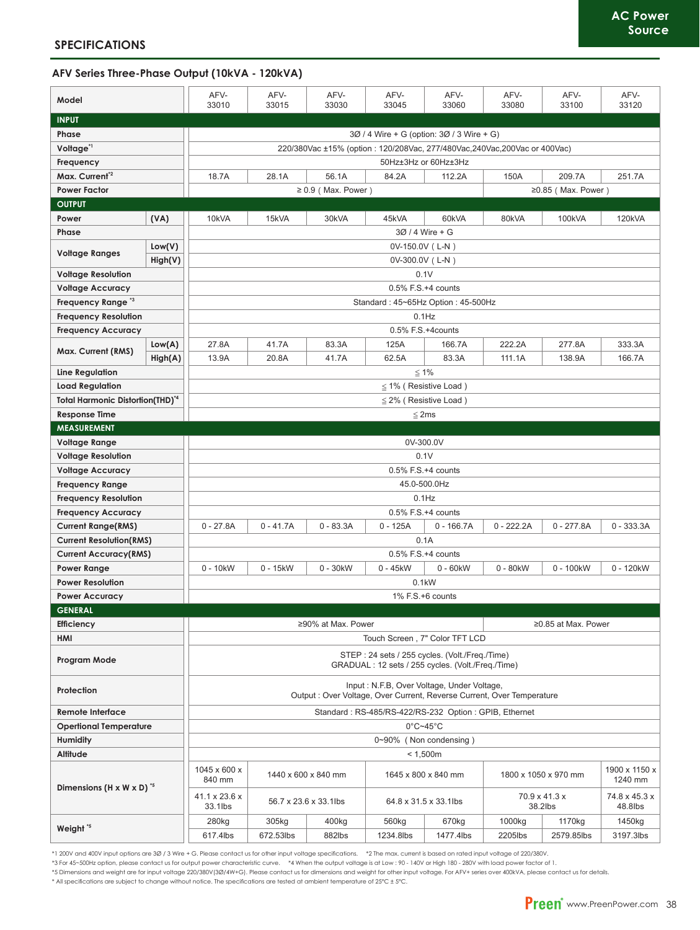#### AFV Series Three-Phase Output (10kVA - 120kVA)

| Model                                                                |         | AFV-<br>33010                                                                                                       | AFV-<br>33015 | AFV-<br>33030           | AFV-<br>33045            | AFV-<br>33060                             | AFV-<br>33080            | AFV-<br>33100            | AFV-<br>33120            |  |  |  |
|----------------------------------------------------------------------|---------|---------------------------------------------------------------------------------------------------------------------|---------------|-------------------------|--------------------------|-------------------------------------------|--------------------------|--------------------------|--------------------------|--|--|--|
| <b>INPUT</b>                                                         |         |                                                                                                                     |               |                         |                          |                                           |                          |                          |                          |  |  |  |
| Phase                                                                |         |                                                                                                                     |               |                         |                          | 30 / 4 Wire + G (option: 30 / 3 Wire + G) |                          |                          |                          |  |  |  |
| Voltage <sup>*1</sup>                                                |         | 220/380Vac ±15% (option: 120/208Vac, 277/480Vac, 240Vac, 200Vac or 400Vac)                                          |               |                         |                          |                                           |                          |                          |                          |  |  |  |
| Frequency                                                            |         |                                                                                                                     |               |                         |                          | 50Hz±3Hz or 60Hz±3Hz                      |                          |                          |                          |  |  |  |
| Max. Current <sup>*2</sup>                                           |         | 18.7A                                                                                                               | 28.1A         | 56.1A                   | 84.2A                    | 112.2A                                    | 150A                     | 209.7A                   | 251.7A                   |  |  |  |
| <b>Power Factor</b>                                                  |         |                                                                                                                     |               | $\geq 0.9$ (Max. Power) |                          |                                           |                          | $\geq$ 0.85 (Max. Power) |                          |  |  |  |
| <b>OUTPUT</b>                                                        |         |                                                                                                                     |               |                         |                          |                                           |                          |                          |                          |  |  |  |
| Power                                                                | (VA)    | 10kVA                                                                                                               | 15kVA         | 30kVA                   | 45kVA                    | 60kVA                                     | 80kVA                    | 100kVA                   | 120kVA                   |  |  |  |
| Phase                                                                |         |                                                                                                                     |               |                         |                          | 3Ø / 4 Wire + G                           |                          |                          |                          |  |  |  |
| Low(V)                                                               |         |                                                                                                                     |               |                         | 0V-150.0V (L-N)          |                                           |                          |                          |                          |  |  |  |
| <b>Voltage Ranges</b>                                                | High(V) | 0V-300.0V (L-N)                                                                                                     |               |                         |                          |                                           |                          |                          |                          |  |  |  |
| <b>Voltage Resolution</b>                                            |         | 0.1V                                                                                                                |               |                         |                          |                                           |                          |                          |                          |  |  |  |
| <b>Voltage Accuracy</b>                                              |         | $0.5\%$ F.S. $+4$ counts                                                                                            |               |                         |                          |                                           |                          |                          |                          |  |  |  |
| Frequency Range <sup>3</sup>                                         |         | Standard: 45~65Hz Option: 45-500Hz                                                                                  |               |                         |                          |                                           |                          |                          |                          |  |  |  |
| <b>Frequency Resolution</b>                                          |         | $0.1$ Hz                                                                                                            |               |                         |                          |                                           |                          |                          |                          |  |  |  |
| <b>Frequency Accuracy</b>                                            |         | 0.5% F.S.+4counts                                                                                                   |               |                         |                          |                                           |                          |                          |                          |  |  |  |
|                                                                      | Low(A)  | 27.8A                                                                                                               | 41.7A         | 83.3A                   | 125A                     | 166.7A                                    | 222.2A                   | 277.8A                   | 333.3A                   |  |  |  |
| Max. Current (RMS)                                                   | High(A) | 13.9A                                                                                                               | 20.8A         | 41.7A                   | 62.5A                    | 83.3A                                     | 111.1A                   | 138.9A                   | 166.7A                   |  |  |  |
| Line Regulation                                                      |         | $\leq 1\%$                                                                                                          |               |                         |                          |                                           |                          |                          |                          |  |  |  |
| <b>Load Regulation</b>                                               |         | $\leq$ 1% (Resistive Load)                                                                                          |               |                         |                          |                                           |                          |                          |                          |  |  |  |
|                                                                      |         | $\leq$ 2% (Resistive Load)                                                                                          |               |                         |                          |                                           |                          |                          |                          |  |  |  |
| Total Harmonic Distortion(THD) <sup>*4</sup><br><b>Response Time</b> |         | $\leq$ 2ms                                                                                                          |               |                         |                          |                                           |                          |                          |                          |  |  |  |
| <b>MEASUREMENT</b>                                                   |         |                                                                                                                     |               |                         |                          |                                           |                          |                          |                          |  |  |  |
| Voltage Range                                                        |         | 0V-300.0V                                                                                                           |               |                         |                          |                                           |                          |                          |                          |  |  |  |
| <b>Voltage Resolution</b>                                            |         | 0.1V                                                                                                                |               |                         |                          |                                           |                          |                          |                          |  |  |  |
| <b>Voltage Accuracy</b>                                              |         | 0.5% F.S.+4 counts                                                                                                  |               |                         |                          |                                           |                          |                          |                          |  |  |  |
| <b>Frequency Range</b>                                               |         |                                                                                                                     |               |                         | 45.0-500.0Hz             |                                           |                          |                          |                          |  |  |  |
| <b>Frequency Resolution</b>                                          |         |                                                                                                                     |               |                         | $0.1$ Hz                 |                                           |                          |                          |                          |  |  |  |
| <b>Frequency Accuracy</b>                                            |         |                                                                                                                     |               |                         | 0.5% F.S.+4 counts       |                                           |                          |                          |                          |  |  |  |
| <b>Current Range(RMS)</b>                                            |         | $0 - 27.8A$                                                                                                         | $0 - 41.7A$   | $0 - 83.3A$             | 0 - 125A                 | $0 - 166.7A$                              | $0 - 222.2A$             | $0 - 277.8A$             | $0 - 333.3A$             |  |  |  |
| <b>Current Resolution(RMS)</b>                                       |         |                                                                                                                     |               |                         |                          | 0.1A                                      |                          |                          |                          |  |  |  |
| Current Accuracy(RMS)                                                |         |                                                                                                                     |               |                         | $0.5\%$ F.S. $+4$ counts |                                           |                          |                          |                          |  |  |  |
| <b>Power Range</b>                                                   |         | $0 - 10$ kW                                                                                                         | $0 - 15kW$    | $0 - 30$ kW             | $0 - 45$ kW              | $0 - 60$ kW                               | $0 - 80$ kW              | 0 - 100kW                | 0 - 120kW                |  |  |  |
| <b>Power Resolution</b>                                              |         |                                                                                                                     |               |                         | 0.1kW                    |                                           |                          |                          |                          |  |  |  |
| <b>Power Accuracy</b>                                                |         | 1% F.S.+6 counts                                                                                                    |               |                         |                          |                                           |                          |                          |                          |  |  |  |
| <b>GENERAL</b>                                                       |         |                                                                                                                     |               |                         |                          |                                           |                          |                          |                          |  |  |  |
| Efficiency                                                           |         |                                                                                                                     |               | ≥90% at Max. Power      |                          |                                           |                          | ≥0.85 at Max. Power      |                          |  |  |  |
| HMI                                                                  |         | Touch Screen, 7" Color TFT LCD                                                                                      |               |                         |                          |                                           |                          |                          |                          |  |  |  |
| Program Mode                                                         |         | STEP: 24 sets / 255 cycles. (Volt./Freq./Time)<br>GRADUAL: 12 sets / 255 cycles. (Volt./Freq./Time)                 |               |                         |                          |                                           |                          |                          |                          |  |  |  |
| Protection                                                           |         | Input: N.F.B, Over Voltage, Under Voltage,<br>Output: Over Voltage, Over Current, Reverse Current, Over Temperature |               |                         |                          |                                           |                          |                          |                          |  |  |  |
| Remote Interface                                                     |         | Standard: RS-485/RS-422/RS-232 Option: GPIB, Ethernet                                                               |               |                         |                          |                                           |                          |                          |                          |  |  |  |
| <b>Opertional Temperature</b>                                        |         | $0^{\circ}$ C~45 $^{\circ}$ C                                                                                       |               |                         |                          |                                           |                          |                          |                          |  |  |  |
| <b>Humidity</b>                                                      |         | 0~90% (Non condensing)                                                                                              |               |                         |                          |                                           |                          |                          |                          |  |  |  |
| Altitude                                                             |         | < 1,500m                                                                                                            |               |                         |                          |                                           |                          |                          |                          |  |  |  |
| Dimensions (H $\times$ W $\times$ D) <sup>5</sup>                    |         | 1045 x 600 x<br>840 mm                                                                                              |               | 1440 x 600 x 840 mm     | 1645 x 800 x 840 mm      |                                           | 1800 x 1050 x 970 mm     |                          | 1900 x 1150 x<br>1240 mm |  |  |  |
|                                                                      |         | 41.1 x 23.6 x<br>33.1lbs                                                                                            |               | 56.7 x 23.6 x 33.1lbs   | 64.8 x 31.5 x 33.1lbs    |                                           | 70.9 x 41.3 x<br>38.2lbs |                          | 74.8 x 45.3 x<br>48.8lbs |  |  |  |
| Weight <sup>*5</sup>                                                 |         | 280kg                                                                                                               | 305kg         | 400kg                   | 560kg                    | 670kg                                     | 1000kg                   | 1170kg                   | 1450kg                   |  |  |  |
|                                                                      |         | 617.4lbs                                                                                                            | 672.53lbs     | 882lbs                  | 1234.8lbs                | 1477.4lbs                                 | 2205lbs                  | 2579.85lbs               | 3197.3lbs                |  |  |  |

\*1 200V and 400V input options are 30 / 3 Wire + G. Please contact us for other input voltage specifications. \*2 The max. current is based on rated input voltage of 220/380V.<br>\*3 For 45~500Hz option, please contact us for o

\* All specifications are subject to change without notice. The specifications are tested at ambient temperature of 25°C ± 5°C.

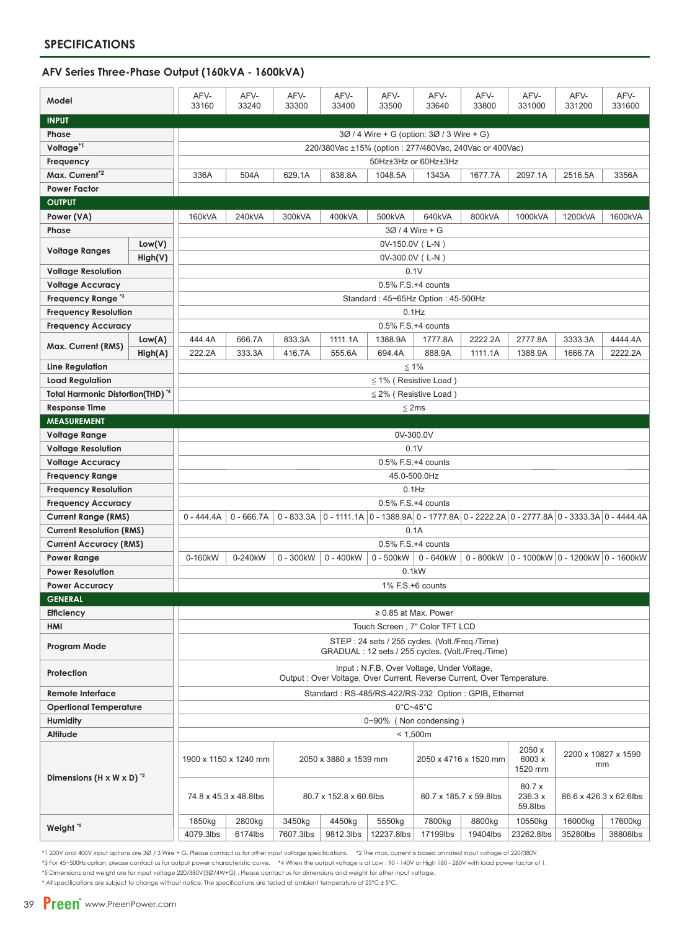#### AFV Series Three-Phase Output (160kVA - 1600kVA)

| Model                                              |          | AFV-<br>33160                                                                                                        | AFV-<br>33240                                                                                                                     | AFV-<br>33300 | AFV-<br>33400 | AFV-<br>33500            | AFV-<br>33640                             | AFV-<br>33800 | AFV-<br>331000                                                                      | AFV-<br>331200         | AFV-<br>331600 |  |  |
|----------------------------------------------------|----------|----------------------------------------------------------------------------------------------------------------------|-----------------------------------------------------------------------------------------------------------------------------------|---------------|---------------|--------------------------|-------------------------------------------|---------------|-------------------------------------------------------------------------------------|------------------------|----------------|--|--|
| <b>INPUT</b>                                       |          |                                                                                                                      |                                                                                                                                   |               |               |                          |                                           |               |                                                                                     |                        |                |  |  |
| Phase                                              |          |                                                                                                                      |                                                                                                                                   |               |               |                          | 30 / 4 Wire + G (option: 30 / 3 Wire + G) |               |                                                                                     |                        |                |  |  |
| Voltage <sup>*1</sup>                              |          | 220/380Vac ±15% (option: 277/480Vac, 240Vac or 400Vac)                                                               |                                                                                                                                   |               |               |                          |                                           |               |                                                                                     |                        |                |  |  |
| Frequency                                          |          |                                                                                                                      |                                                                                                                                   |               |               |                          | 50Hz±3Hz or 60Hz±3Hz                      |               |                                                                                     |                        |                |  |  |
| Max. Current <sup>*2</sup>                         |          | 336A                                                                                                                 | 504A                                                                                                                              | 629.1A        | 838.8A        | 1048.5A                  | 1343A                                     | 1677.7A       | 2097.1A                                                                             | 2516.5A                | 3356A          |  |  |
| <b>Power Factor</b>                                |          |                                                                                                                      |                                                                                                                                   |               |               |                          |                                           |               |                                                                                     |                        |                |  |  |
| <b>OUTPUT</b>                                      |          |                                                                                                                      |                                                                                                                                   |               |               |                          |                                           |               |                                                                                     |                        |                |  |  |
| Power (VA)                                         |          | 160kVA                                                                                                               | 240kVA                                                                                                                            | 300kVA        | 400kVA        | 500kVA                   | 640kVA                                    | 800kVA        | 1000kVA                                                                             | 1200kVA                | 1600kVA        |  |  |
| Phase                                              |          |                                                                                                                      |                                                                                                                                   |               |               |                          | 3Ø / 4 Wire + G                           |               |                                                                                     |                        |                |  |  |
| Low(V)                                             |          | 0V-150.0V (L-N)                                                                                                      |                                                                                                                                   |               |               |                          |                                           |               |                                                                                     |                        |                |  |  |
| <b>Voltage Ranges</b>                              | High(V)  | 0V-300.0V (L-N)                                                                                                      |                                                                                                                                   |               |               |                          |                                           |               |                                                                                     |                        |                |  |  |
| <b>Voltage Resolution</b>                          |          | 0.1V                                                                                                                 |                                                                                                                                   |               |               |                          |                                           |               |                                                                                     |                        |                |  |  |
| Voltage Accuracy                                   |          | $0.5\%$ F.S. $+4$ counts                                                                                             |                                                                                                                                   |               |               |                          |                                           |               |                                                                                     |                        |                |  |  |
| Frequency Range <sup>3</sup>                       |          | Standard: 45~65Hz Option: 45-500Hz                                                                                   |                                                                                                                                   |               |               |                          |                                           |               |                                                                                     |                        |                |  |  |
| <b>Frequency Resolution</b>                        |          | $0.1$ Hz                                                                                                             |                                                                                                                                   |               |               |                          |                                           |               |                                                                                     |                        |                |  |  |
| <b>Frequency Accuracy</b>                          |          | 0.5% F.S.+4 counts                                                                                                   |                                                                                                                                   |               |               |                          |                                           |               |                                                                                     |                        |                |  |  |
|                                                    | Low(A)   | 444.4A                                                                                                               | 666.7A                                                                                                                            | 833.3A        | 1111.1A       | 1388.9A                  | 1777.8A                                   | 2222.2A       | 2777.8A                                                                             | 3333.3A                | 4444.4A        |  |  |
| Max. Current (RMS)                                 | High(A)  | 222.2A                                                                                                               | 333.3A                                                                                                                            | 416.7A        | 555.6A        | 694.4A                   | 888.9A                                    | 1111.1A       | 1388.9A                                                                             | 1666.7A                | 2222.2A        |  |  |
| Line Regulation                                    |          |                                                                                                                      |                                                                                                                                   |               |               |                          | $\leq 1\%$                                |               |                                                                                     |                        |                |  |  |
| <b>Load Regulation</b>                             |          | $\leq$ 1% (Resistive Load)                                                                                           |                                                                                                                                   |               |               |                          |                                           |               |                                                                                     |                        |                |  |  |
| Total Harmonic Distortion(THD) <sup>*4</sup>       |          | $\leq$ 2% (Resistive Load)                                                                                           |                                                                                                                                   |               |               |                          |                                           |               |                                                                                     |                        |                |  |  |
| <b>Response Time</b>                               |          | $\leq$ 2ms                                                                                                           |                                                                                                                                   |               |               |                          |                                           |               |                                                                                     |                        |                |  |  |
| <b>MEASUREMENT</b>                                 |          |                                                                                                                      |                                                                                                                                   |               |               |                          |                                           |               |                                                                                     |                        |                |  |  |
| <b>Voltage Range</b>                               |          | 0V-300.0V                                                                                                            |                                                                                                                                   |               |               |                          |                                           |               |                                                                                     |                        |                |  |  |
| <b>Voltage Resolution</b>                          |          | 0.1V                                                                                                                 |                                                                                                                                   |               |               |                          |                                           |               |                                                                                     |                        |                |  |  |
| <b>Voltage Accuracy</b>                            |          |                                                                                                                      |                                                                                                                                   |               |               |                          | $0.5\%$ F.S. $+4$ counts                  |               |                                                                                     |                        |                |  |  |
| <b>Frequency Range</b>                             |          |                                                                                                                      |                                                                                                                                   |               |               |                          | 45.0-500.0Hz                              |               |                                                                                     |                        |                |  |  |
| <b>Frequency Resolution</b>                        |          |                                                                                                                      |                                                                                                                                   |               |               |                          | $0.1$ Hz                                  |               |                                                                                     |                        |                |  |  |
| <b>Frequency Accuracy</b>                          |          |                                                                                                                      |                                                                                                                                   |               |               | $0.5\%$ F.S. $+4$ counts |                                           |               |                                                                                     |                        |                |  |  |
| Current Range (RMS)                                |          | $0 - 444.4A$                                                                                                         | $0 - 666.7A$                                                                                                                      | $0 - 833.3A$  |               |                          |                                           |               | 0 - 1111.1A 0 - 1388.9A 0 - 1777.8A 0 - 2222.2A 0 - 2777.8A 0 - 3333.3A 0 - 4444.4A |                        |                |  |  |
| <b>Current Resolution (RMS)</b>                    |          |                                                                                                                      |                                                                                                                                   |               |               |                          | 0.1A                                      |               |                                                                                     |                        |                |  |  |
| <b>Current Accuracy (RMS)</b>                      |          | 0.5% F.S.+4 counts                                                                                                   |                                                                                                                                   |               |               |                          |                                           |               |                                                                                     |                        |                |  |  |
| Power Range                                        |          | 0-160kW                                                                                                              | 0-240kW<br>0 - 300kW<br>$0 - 400$ kW<br>$0 - 640$ kW<br>0 - 800kW<br>$ 0 - 1000$ kW $ 0 - 1200$ kW $ 0 - 1600$ kW<br>$0 - 500$ kW |               |               |                          |                                           |               |                                                                                     |                        |                |  |  |
| <b>Power Resolution</b>                            |          | 0.1kW                                                                                                                |                                                                                                                                   |               |               |                          |                                           |               |                                                                                     |                        |                |  |  |
| <b>Power Accuracy</b>                              |          |                                                                                                                      |                                                                                                                                   |               |               |                          | 1% F.S.+6 counts                          |               |                                                                                     |                        |                |  |  |
| <b>GENERAL</b>                                     |          |                                                                                                                      |                                                                                                                                   |               |               |                          |                                           |               |                                                                                     |                        |                |  |  |
| Efficiency                                         |          | $\geq 0.85$ at Max. Power                                                                                            |                                                                                                                                   |               |               |                          |                                           |               |                                                                                     |                        |                |  |  |
| HMI                                                |          | Touch Screen, 7" Color TFT LCD                                                                                       |                                                                                                                                   |               |               |                          |                                           |               |                                                                                     |                        |                |  |  |
| Program Mode                                       |          | STEP: 24 sets / 255 cycles. (Volt./Freg./Time)<br>GRADUAL: 12 sets / 255 cycles. (Volt./Freq./Time)                  |                                                                                                                                   |               |               |                          |                                           |               |                                                                                     |                        |                |  |  |
| Protection                                         |          | Input: N.F.B, Over Voltage, Under Voltage,<br>Output: Over Voltage, Over Current, Reverse Current, Over Temperature. |                                                                                                                                   |               |               |                          |                                           |               |                                                                                     |                        |                |  |  |
| <b>Remote Interface</b>                            |          | Standard: RS-485/RS-422/RS-232 Option: GPIB, Ethernet                                                                |                                                                                                                                   |               |               |                          |                                           |               |                                                                                     |                        |                |  |  |
| <b>Opertional Temperature</b>                      |          | $0^{\circ}$ C~45 $^{\circ}$ C                                                                                        |                                                                                                                                   |               |               |                          |                                           |               |                                                                                     |                        |                |  |  |
| <b>Humidity</b>                                    |          | 0~90% (Non condensing)                                                                                               |                                                                                                                                   |               |               |                          |                                           |               |                                                                                     |                        |                |  |  |
| Altitude                                           | < 1,500m |                                                                                                                      |                                                                                                                                   |               |               |                          |                                           |               |                                                                                     |                        |                |  |  |
| Dimensions (H $\times$ W $\times$ D) <sup>*5</sup> |          | 2050 x<br>6003 x<br>1900 x 1150 x 1240 mm<br>2050 x 3880 x 1539 mm<br>2050 x 4716 x 1520 mm<br>1520 mm               |                                                                                                                                   |               |               |                          |                                           |               | 2200 x 10827 x 1590<br>mm                                                           |                        |                |  |  |
|                                                    |          | 80.7 x<br>236.3 x<br>74.8 x 45.3 x 48.8lbs<br>80.7 x 152.8 x 60.6lbs<br>80.7 x 185.7 x 59.8lbs<br>59.8lbs            |                                                                                                                                   |               |               |                          |                                           |               |                                                                                     | 86.6 x 426.3 x 62.6lbs |                |  |  |
| Weight <sup>*5</sup>                               |          | 1850kg                                                                                                               | 2800kg                                                                                                                            | 3450kg        | 4450kg        | 5550kg                   | 7800kg                                    | 8800kg        | 10550kg                                                                             | 16000kg                | 17600kg        |  |  |
|                                                    |          | 4079.3lbs                                                                                                            | 6174lbs                                                                                                                           | 7607.3lbs     | 9812.3lbs     | 12237.8lbs               | 17199lbs                                  | 19404lbs      | 23262.8lbs                                                                          | 35280lbs               | 38808lbs       |  |  |

\*1 200V and 400V input options are 30 / 3 Wire + G. Please contact us for other input voltage specifications. \*2 The max. current is based on rated input voltage of 220/380V. \*3 For 45~500Hz option, please contact us for output power characteristic curve. \*4 When the output voltage is at Low : 90 - 140V or High 180 - 280V with load power factor of 1.

\*5 Dimensions and weight are for input voltage 220/380V(3Ø/4W+G). Please contact us for dimensions and weight for other input voltage.

\* All specifications are subject to change without notice. The specifications are tested at ambient temperature of 25°C ± 5°C.